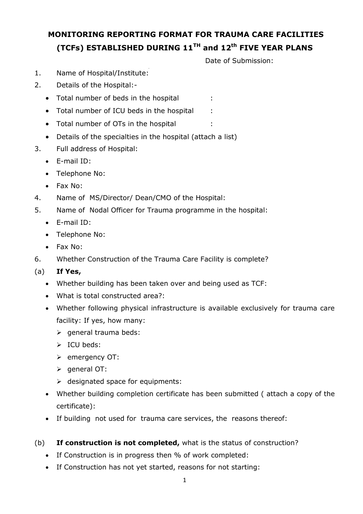# **MONITORING REPORTING FORMAT FOR TRAUMA CARE FACILITIES (TCFs) ESTABLISHED DURING 11TH and 12th FIVE YEAR PLANS**

Date of Submission:

- 1. Name of Hospital/Institute:
- 2. Details of the Hospital:-
	- Total number of beds in the hospital :
	- Total number of ICU beds in the hospital :
	- Total number of OTs in the hospital :
	- Details of the specialties in the hospital (attach a list)
- 3. Full address of Hospital:
	- E-mail ID:
	- Telephone No:
	- Fax No:
- 4. Name of MS/Director/ Dean/CMO of the Hospital:
- 5. Name of Nodal Officer for Trauma programme in the hospital:
	- E-mail ID:
	- Telephone No:
	- Fax No:
- 6. Whether Construction of the Trauma Care Facility is complete?
- (a) **If Yes,**
	- Whether building has been taken over and being used as TCF:
	- What is total constructed area?:
	- Whether following physical infrastructure is available exclusively for trauma care facility: If yes, how many:
		- $\triangleright$  general trauma beds:
		- $\triangleright$  ICU beds:
		- $\triangleright$  emergency OT:
		- $\triangleright$  general OT:
		- $\triangleright$  designated space for equipments:
	- Whether building completion certificate has been submitted ( attach a copy of the certificate):
	- If building not used for trauma care services, the reasons thereof:
- (b) **If construction is not completed,** what is the status of construction?
	- If Construction is in progress then % of work completed:
	- If Construction has not yet started, reasons for not starting: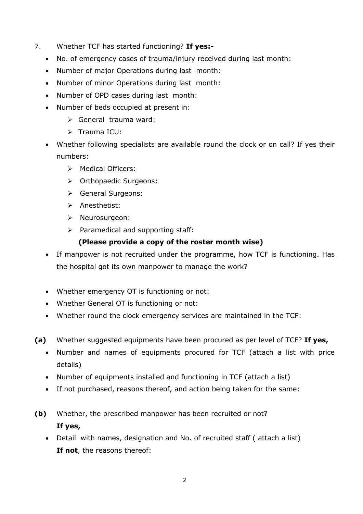- 7. Whether TCF has started functioning? **If yes:-**
	- No. of emergency cases of trauma/injury received during last month:
	- Number of major Operations during last month:
	- Number of minor Operations during last month:
	- Number of OPD cases during last month:
	- Number of beds occupied at present in:
		- $\triangleright$  General trauma ward:
		- $\triangleright$  Trauma ICU:
	- Whether following specialists are available round the clock or on call? If yes their numbers:
		- > Medical Officers:
		- > Orthopaedic Surgeons:
		- General Surgeons:
		- > Anesthetist:
		- > Neurosurgeon:
		- $\triangleright$  Paramedical and supporting staff:

## **(Please provide a copy of the roster month wise)**

- If manpower is not recruited under the programme, how TCF is functioning. Has the hospital got its own manpower to manage the work?
- Whether emergency OT is functioning or not:
- Whether General OT is functioning or not:
- Whether round the clock emergency services are maintained in the TCF:
- **(a)** Whether suggested equipments have been procured as per level of TCF? **If yes,**
	- Number and names of equipments procured for TCF (attach a list with price details)
	- Number of equipments installed and functioning in TCF (attach a list)
	- If not purchased, reasons thereof, and action being taken for the same:
- **(b)** Whether, the prescribed manpower has been recruited or not? **If yes,**
	- Detail with names, designation and No. of recruited staff ( attach a list) **If not**, the reasons thereof: